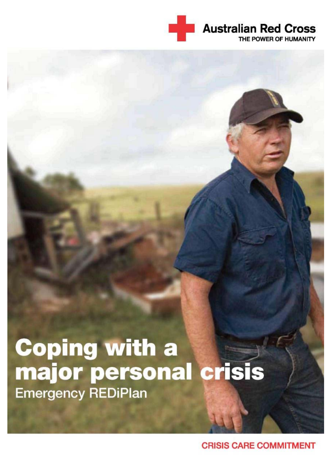

# **Coping with a<br>major personal crisis Emergency REDiPlan**

**CRISIS CARE COMMITMENT**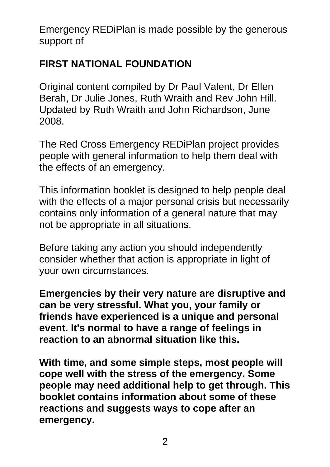Emergency REDiPlan is made possible by the generous support of

### **FIRST NATIONAL FOUNDATION**

Original content compiled by Dr Paul Valent, Dr Ellen Berah, Dr Julie Jones, Ruth Wraith and Rev John Hill. Updated by Ruth Wraith and John Richardson, June 2008.

The Red Cross Emergency REDiPlan project provides people with general information to help them deal with the effects of an emergency.

This information booklet is designed to help people deal with the effects of a major personal crisis but necessarily contains only information of a general nature that may not be appropriate in all situations.

Before taking any action you should independently consider whether that action is appropriate in light of your own circumstances.

**Emergencies by their very nature are disruptive and can be very stressful. What you, your family or friends have experienced is a unique and personal event. It's normal to have a range of feelings in reaction to an abnormal situation like this.**

**With time, and some simple steps, most people will cope well with the stress of the emergency. Some people may need additional help to get through. This booklet contains information about some of these reactions and suggests ways to cope after an emergency.**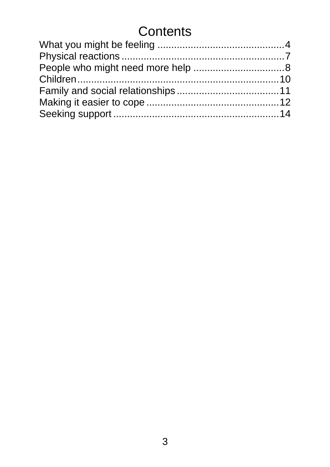# **Contents**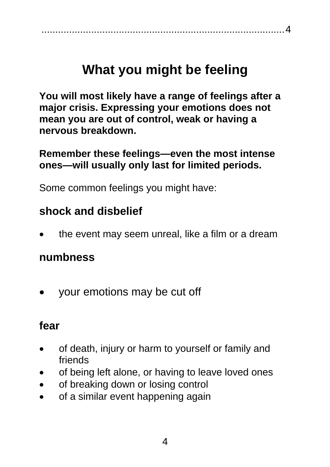#### <span id="page-3-0"></span>........................................................................................4

# **What you might be feeling**

**You will most likely have a range of feelings after a major crisis. Expressing your emotions does not mean you are out of control, weak or having a nervous breakdown.** 

**Remember these feelings—even the most intense ones—will usually only last for limited periods.**

Some common feelings you might have:

## **shock and disbelief**

• the event may seem unreal, like a film or a dream

#### **numbness**

• your emotions may be cut off

#### **fear**

- of death, injury or harm to yourself or family and friends
- of being left alone, or having to leave loved ones
- of breaking down or losing control
- of a similar event happening again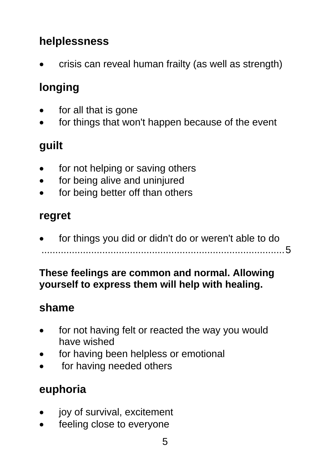# **helplessness**

• crisis can reveal human frailty (as well as strength)

# **longing**

- for all that is gone
- for things that won't happen because of the event

# **guilt**

- for not helping or saving others
- for being alive and uninjured
- for being better off than others

## **regret**

• for things you did or didn't do or weren't able to do ........................................................................................5

#### **These feelings are common and normal. Allowing yourself to express them will help with healing.**

## **shame**

- for not having felt or reacted the way you would have wished
- for having been helpless or emotional
- for having needed others

# **euphoria**

- joy of survival, excitement
- feeling close to everyone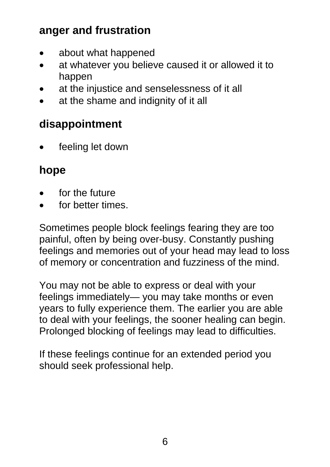## **anger and frustration**

- about what happened
- at whatever you believe caused it or allowed it to happen
- at the injustice and senselessness of it all
- at the shame and indignity of it all

## **disappointment**

feeling let down

### **hope**

- for the future
- for better times.

Sometimes people block feelings fearing they are too painful, often by being over-busy. Constantly pushing feelings and memories out of your head may lead to loss of memory or concentration and fuzziness of the mind.

You may not be able to express or deal with your feelings immediately— you may take months or even years to fully experience them. The earlier you are able to deal with your feelings, the sooner healing can begin. Prolonged blocking of feelings may lead to difficulties.

If these feelings continue for an extended period you should seek professional help.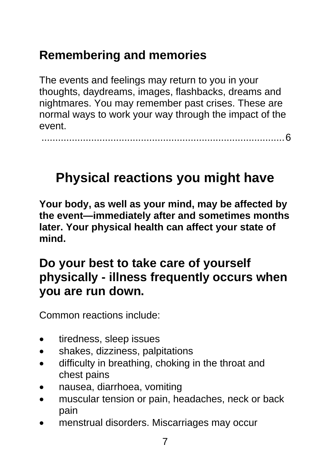# <span id="page-6-0"></span>**Remembering and memories**

The events and feelings may return to you in your thoughts, daydreams, images, flashbacks, dreams and nightmares. You may remember past crises. These are normal ways to work your way through the impact of the event.

........................................................................................6

# **Physical reactions you might have**

**Your body, as well as your mind, may be affected by the event—immediately after and sometimes months later. Your physical health can affect your state of mind.** 

# **Do your best to take care of yourself physically - illness frequently occurs when you are run down.**

Common reactions include:

- tiredness, sleep issues
- shakes, dizziness, palpitations
- difficulty in breathing, choking in the throat and chest pains
- nausea, diarrhoea, vomiting
- muscular tension or pain, headaches, neck or back pain
- menstrual disorders. Miscarriages may occur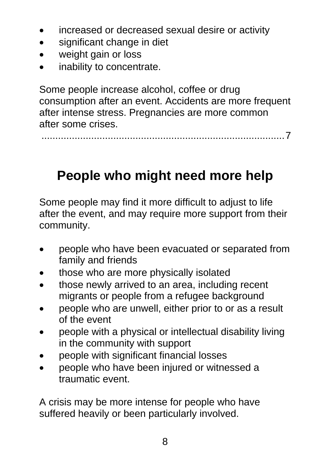- <span id="page-7-0"></span>• increased or decreased sexual desire or activity
- significant change in diet
- weight gain or loss
- inability to concentrate.

Some people increase alcohol, coffee or drug consumption after an event. Accidents are more frequent after intense stress. Pregnancies are more common after some crises.

........................................................................................7

# **People who might need more help**

Some people may find it more difficult to adjust to life after the event, and may require more support from their community.

- people who have been evacuated or separated from family and friends
- those who are more physically isolated
- those newly arrived to an area, including recent migrants or people from a refugee background
- people who are unwell, either prior to or as a result of the event
- people with a physical or intellectual disability living in the community with support
- people with significant financial losses
- people who have been injured or witnessed a traumatic event.

A crisis may be more intense for people who have suffered heavily or been particularly involved.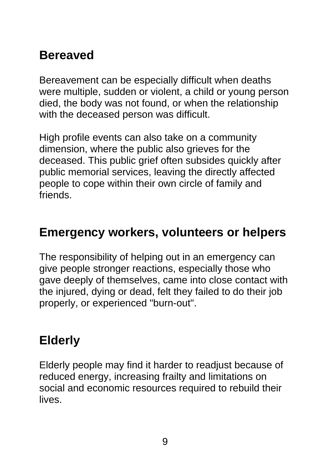# **Bereaved**

Bereavement can be especially difficult when deaths were multiple, sudden or violent, a child or young person died, the body was not found, or when the relationship with the deceased person was difficult.

High profile events can also take on a community dimension, where the public also grieves for the deceased. This public grief often subsides quickly after public memorial services, leaving the directly affected people to cope within their own circle of family and friends.

# **Emergency workers, volunteers or helpers**

The responsibility of helping out in an emergency can give people stronger reactions, especially those who gave deeply of themselves, came into close contact with the injured, dying or dead, felt they failed to do their job properly, or experienced "burn-out".

# **Elderly**

Elderly people may find it harder to readjust because of reduced energy, increasing frailty and limitations on social and economic resources required to rebuild their lives.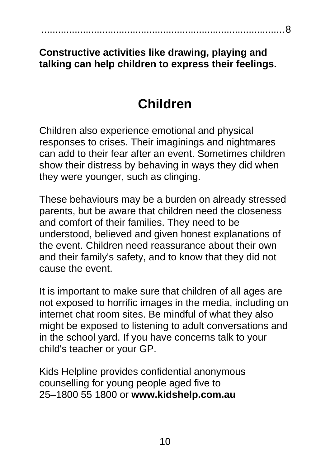#### <span id="page-9-0"></span>**Constructive activities like drawing, playing and talking can help children to express their feelings.**

........................................................................................8

# **Children**

Children also experience emotional and physical responses to crises. Their imaginings and nightmares can add to their fear after an event. Sometimes children show their distress by behaving in ways they did when they were younger, such as clinging.

These behaviours may be a burden on already stressed parents, but be aware that children need the closeness and comfort of their families. They need to be understood, believed and given honest explanations of the event. Children need reassurance about their own and their family's safety, and to know that they did not cause the event.

It is important to make sure that children of all ages are not exposed to horrific images in the media, including on internet chat room sites. Be mindful of what they also might be exposed to listening to adult conversations and in the school yard. If you have concerns talk to your child's teacher or your GP.

Kids Helpline provides confidential anonymous counselling for young people aged five to 25–1800 55 1800 or **www.kidshelp.com.au**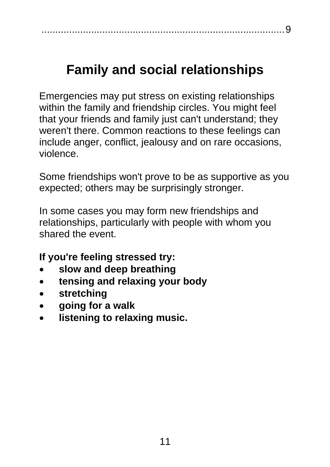# <span id="page-10-0"></span>**Family and social relationships**

Emergencies may put stress on existing relationships within the family and friendship circles. You might feel that your friends and family just can't understand; they weren't there. Common reactions to these feelings can include anger, conflict, jealousy and on rare occasions, violence.

Some friendships won't prove to be as supportive as you expected; others may be surprisingly stronger.

In some cases you may form new friendships and relationships, particularly with people with whom you shared the event.

**If you're feeling stressed try:**

- **slow and deep breathing**
- **tensing and relaxing your body**
- **stretching**
- **going for a walk**
- **listening to relaxing music.**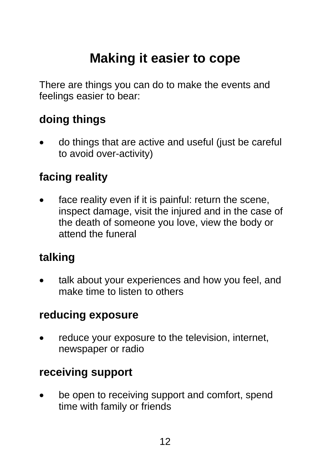# **Making it easier to cope**

<span id="page-11-0"></span>There are things you can do to make the events and feelings easier to bear:

## **doing things**

• do things that are active and useful (just be careful to avoid over-activity)

## **facing reality**

face reality even if it is painful: return the scene, inspect damage, visit the injured and in the case of the death of someone you love, view the body or attend the funeral

#### **talking**

talk about your experiences and how you feel, and make time to listen to others

#### **reducing exposure**

reduce your exposure to the television, internet, newspaper or radio

#### **receiving support**

• be open to receiving support and comfort, spend time with family or friends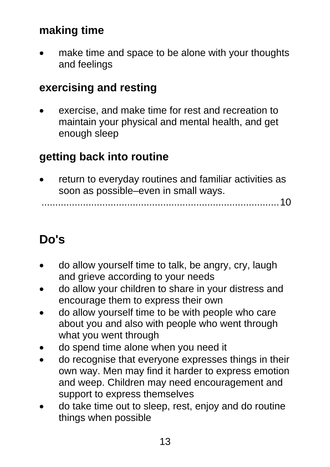## **making time**

• make time and space to be alone with your thoughts and feelings

#### **exercising and resting**

exercise, and make time for rest and recreation to maintain your physical and mental health, and get enough sleep

### **getting back into routine**

• return to everyday routines and familiar activities as soon as possible–even in small ways.

......................................................................................10

# **Do's**

- do allow yourself time to talk, be angry, cry, laugh and grieve according to your needs
- do allow your children to share in your distress and encourage them to express their own
- do allow yourself time to be with people who care about you and also with people who went through what you went through
- do spend time alone when you need it
- do recognise that everyone expresses things in their own way. Men may find it harder to express emotion and weep. Children may need encouragement and support to express themselves
- do take time out to sleep, rest, enjoy and do routine things when possible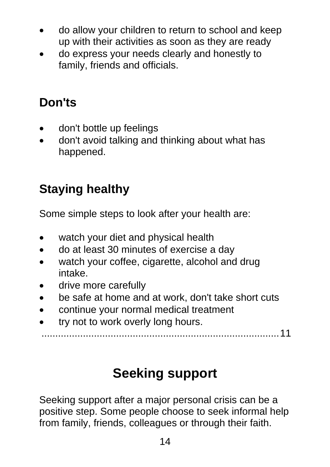- <span id="page-13-0"></span>• do allow your children to return to school and keep up with their activities as soon as they are ready
- do express your needs clearly and honestly to family, friends and officials.

# **Don'ts**

- don't bottle up feelings
- don't avoid talking and thinking about what has happened.

# **Staying healthy**

Some simple steps to look after your health are:

- watch your diet and physical health
- do at least 30 minutes of exercise a day
- watch your coffee, cigarette, alcohol and drug intake.
- drive more carefully
- be safe at home and at work, don't take short cuts
- continue your normal medical treatment
- try not to work overly long hours.

......................................................................................11

# **Seeking support**

Seeking support after a major personal crisis can be a positive step. Some people choose to seek informal help from family, friends, colleagues or through their faith.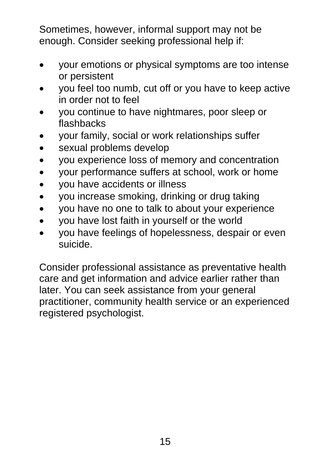Sometimes, however, informal support may not be enough. Consider seeking professional help if:

- your emotions or physical symptoms are too intense or persistent
- you feel too numb, cut off or you have to keep active in order not to feel
- you continue to have nightmares, poor sleep or flashbacks
- your family, social or work relationships suffer
- sexual problems develop
- you experience loss of memory and concentration
- your performance suffers at school, work or home
- you have accidents or illness
- you increase smoking, drinking or drug taking
- you have no one to talk to about your experience
- you have lost faith in yourself or the world
- you have feelings of hopelessness, despair or even suicide.

Consider professional assistance as preventative health care and get information and advice earlier rather than later. You can seek assistance from your general practitioner, community health service or an experienced registered psychologist.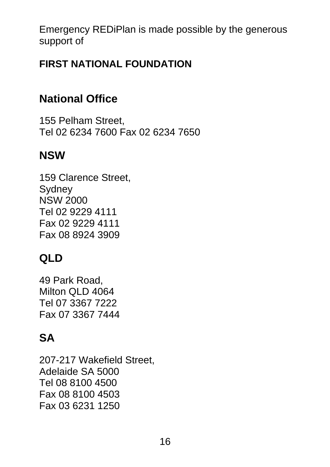Emergency REDiPlan is made possible by the generous support of

#### **FIRST NATIONAL FOUNDATION**

## **National Office**

155 Pelham Street, Tel 02 6234 7600 Fax 02 6234 7650

### **NSW**

159 Clarence Street, **Sydney** NSW 2000 Tel 02 9229 4111 Fax 02 9229 4111 Fax 08 8924 3909

# **QLD**

49 Park Road, Milton QLD 4064 Tel 07 3367 7222 Fax 07 3367 7444

## **SA**

207-217 Wakefield Street, Adelaide SA 5000 Tel 08 8100 4500 Fax 08 8100 4503 Fax 03 6231 1250